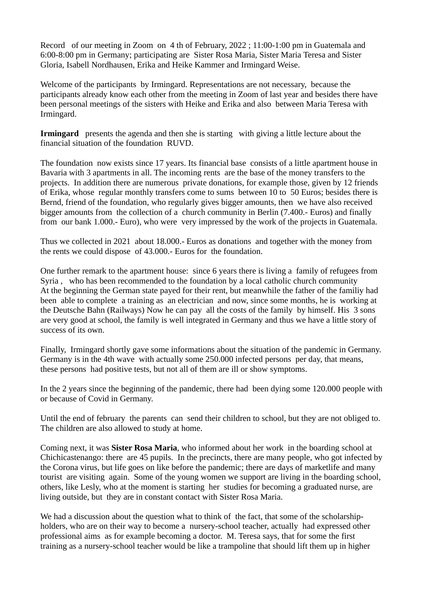Record of our meeting in Zoom on 4 th of February, 2022 ; 11:00-1:00 pm in Guatemala and 6:00-8:00 pm in Germany; participating are Sister Rosa Maria, Sister Maria Teresa and Sister Gloria, Isabell Nordhausen, Erika and Heike Kammer and Irmingard Weise.

Welcome of the participants by Irmingard. Representations are not necessary, because the participants already know each other from the meeting in Zoom of last year and besides there have been personal meetings of the sisters with Heike and Erika and also between Maria Teresa with Irmingard.

**Irmingard** presents the agenda and then she is starting with giving a little lecture about the financial situation of the foundation RUVD.

The foundation now exists since 17 years. Its financial base consists of a little apartment house in Bavaria with 3 apartments in all. The incoming rents are the base of the money transfers to the projects. In addition there are numerous private donations, for example those, given by 12 friends of Erika, whose regular monthly transfers come to sums between 10 to 50 Euros; besides there is Bernd, friend of the foundation, who regularly gives bigger amounts, then we have also received bigger amounts from the collection of a church community in Berlin (7.400.- Euros) and finally from our bank 1.000.- Euro), who were very impressed by the work of the projects in Guatemala.

Thus we collected in 2021 about 18.000.- Euros as donations and together with the money from the rents we could dispose of 43.000.- Euros for the foundation.

One further remark to the apartment house: since 6 years there is living a family of refugees from Syria , who has been recommended to the foundation by a local catholic church community At the beginning the German state payed for their rent, but meanwhile the father of the familiy had been able to complete a training as an electrician and now, since some months, he is working at the Deutsche Bahn (Railways) Now he can pay all the costs of the family by himself. His 3 sons are very good at school, the family is well integrated in Germany and thus we have a little story of success of its own.

Finally, Irmingard shortly gave some informations about the situation of the pandemic in Germany. Germany is in the 4th wave with actually some 250.000 infected persons per day, that means, these persons had positive tests, but not all of them are ill or show symptoms.

In the 2 years since the beginning of the pandemic, there had been dying some 120.000 people with or because of Covid in Germany.

Until the end of february the parents can send their children to school, but they are not obliged to. The children are also allowed to study at home.

Coming next, it was **Sister Rosa Maria**, who informed about her work in the boarding school at Chichicastenango: there are 45 pupils. In the precincts, there are many people, who got infected by the Corona virus, but life goes on like before the pandemic; there are days of marketlife and many tourist are visiting again. Some of the young women we support are living in the boarding school, others, like Lesly, who at the moment is starting her studies for becoming a graduated nurse, are living outside, but they are in constant contact with Sister Rosa Maria.

We had a discussion about the question what to think of the fact, that some of the scholarshipholders, who are on their way to become a nursery-school teacher, actually had expressed other professional aims as for example becoming a doctor. M. Teresa says, that for some the first training as a nursery-school teacher would be like a trampoline that should lift them up in higher